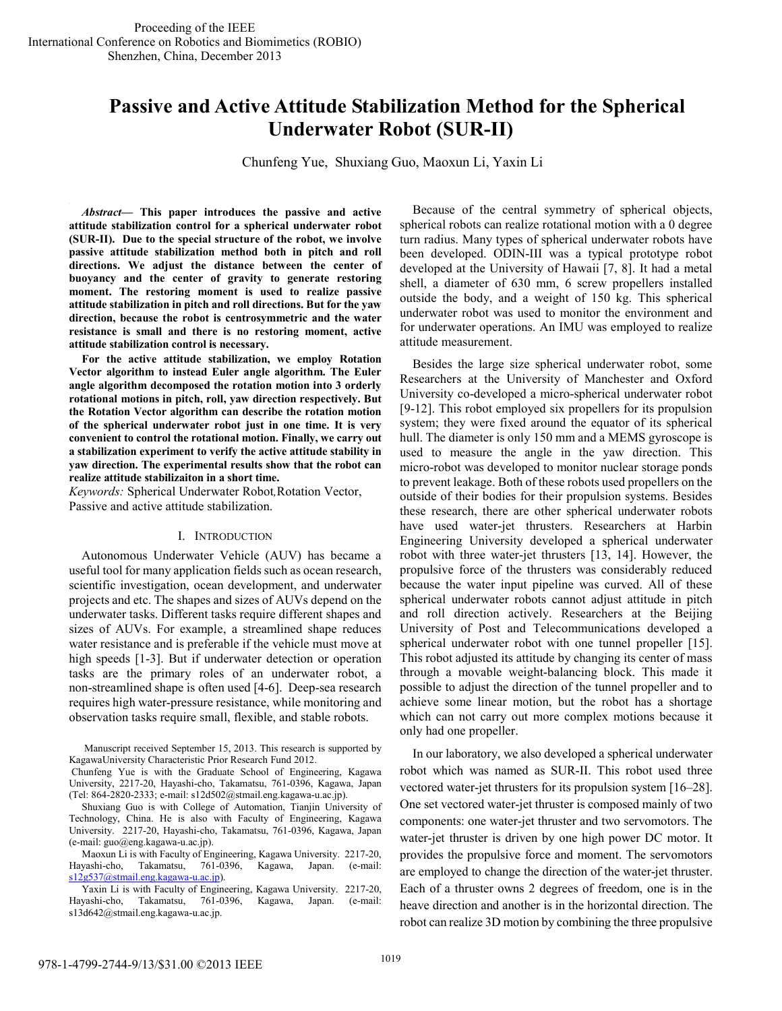# **Passive and Active Attitude Stabilization Method for the Spherical Underwater Robot (SUR-II)**

Chunfeng Yue, Shuxiang Guo, Maoxun Li, Yaxin Li

*Abstract***— This paper introduces the passive and active attitude stabilization control for a spherical underwater robot (SUR-II). Due to the special structure of the robot, we involve passive attitude stabilization method both in pitch and roll directions. We adjust the distance between the center of buoyancy and the center of gravity to generate restoring moment. The restoring moment is used to realize passive attitude stabilization in pitch and roll directions. But for the yaw direction, because the robot is centrosymmetric and the water resistance is small and there is no restoring moment, active attitude stabilization control is necessary.** 

**For the active attitude stabilization, we employ Rotation Vector algorithm to instead Euler angle algorithm. The Euler angle algorithm decomposed the rotation motion into 3 orderly rotational motions in pitch, roll, yaw direction respectively. But the Rotation Vector algorithm can describe the rotation motion of the spherical underwater robot just in one time. It is very convenient to control the rotational motion. Finally, we carry out a stabilization experiment to verify the active attitude stability in yaw direction. The experimental results show that the robot can realize attitude stabilizaiton in a short time.** 

*Keywords:* Spherical Underwater Robot*,*Rotation Vector, Passive and active attitude stabilization.

#### I. INTRODUCTION

Autonomous Underwater Vehicle (AUV) has became a useful tool for many application fields such as ocean research, scientific investigation, ocean development, and underwater projects and etc. The shapes and sizes of AUVs depend on the underwater tasks. Different tasks require different shapes and sizes of AUVs. For example, a streamlined shape reduces water resistance and is preferable if the vehicle must move at high speeds [1-3]. But if underwater detection or operation tasks are the primary roles of an underwater robot, a non-streamlined shape is often used [4-6]. Deep-sea research requires high water-pressure resistance, while monitoring and observation tasks require small, flexible, and stable robots.

Manuscript received September 15, 2013. This research is supported by KagawaUniversity Characteristic Prior Research Fund 2012.

 Chunfeng Yue is with the Graduate School of Engineering, Kagawa University, 2217-20, Hayashi-cho, Takamatsu, 761-0396, Kagawa, Japan (Tel: 864-2820-2333; e-mail: s12d502@stmail.eng.kagawa-u.ac.jp).

Shuxiang Guo is with College of Automation, Tianjin University of Technology, China. He is also with Faculty of Engineering, Kagawa University. 2217-20, Hayashi-cho, Takamatsu, 761-0396, Kagawa, Japan (e-mail: guo@eng.kagawa-u.ac.jp).

Maoxun Li is with Faculty of Engineering, Kagawa University. 2217-20, Hayashi-cho, Takamatsu, 761-0396, Kagawa, Japan. (e-mail: s12g537@stmail.eng.kagawa-u.ac.jp).

Yaxin Li is with Faculty of Engineering, Kagawa University. 2217-20, Hayashi-cho, Takamatsu, 761-0396, Kagawa, Japan. (e-mail: s13d642@stmail.eng.kagawa-u.ac.jp.

Because of the central symmetry of spherical objects, spherical robots can realize rotational motion with a 0 degree turn radius. Many types of spherical underwater robots have been developed. ODIN-III was a typical prototype robot developed at the University of Hawaii [7, 8]. It had a metal shell, a diameter of 630 mm, 6 screw propellers installed outside the body, and a weight of 150 kg. This spherical underwater robot was used to monitor the environment and for underwater operations. An IMU was employed to realize attitude measurement.

Besides the large size spherical underwater robot, some Researchers at the University of Manchester and Oxford University co-developed a micro-spherical underwater robot [9-12]. This robot employed six propellers for its propulsion system; they were fixed around the equator of its spherical hull. The diameter is only 150 mm and a MEMS gyroscope is used to measure the angle in the yaw direction. This micro-robot was developed to monitor nuclear storage ponds to prevent leakage. Both of these robots used propellers on the outside of their bodies for their propulsion systems. Besides these research, there are other spherical underwater robots have used water-jet thrusters. Researchers at Harbin Engineering University developed a spherical underwater robot with three water-jet thrusters [13, 14]. However, the propulsive force of the thrusters was considerably reduced because the water input pipeline was curved. All of these spherical underwater robots cannot adjust attitude in pitch and roll direction actively. Researchers at the Beijing University of Post and Telecommunications developed a spherical underwater robot with one tunnel propeller [15]. This robot adjusted its attitude by changing its center of mass through a movable weight-balancing block. This made it possible to adjust the direction of the tunnel propeller and to achieve some linear motion, but the robot has a shortage which can not carry out more complex motions because it only had one propeller.

In our laboratory, we also developed a spherical underwater robot which was named as SUR-II. This robot used three vectored water-jet thrusters for its propulsion system [16–28]. One set vectored water-jet thruster is composed mainly of two components: one water-jet thruster and two servomotors. The water-jet thruster is driven by one high power DC motor. It provides the propulsive force and moment. The servomotors are employed to change the direction of the water-jet thruster. Each of a thruster owns 2 degrees of freedom, one is in the heave direction and another is in the horizontal direction. The robot can realize 3D motion by combining the three propulsive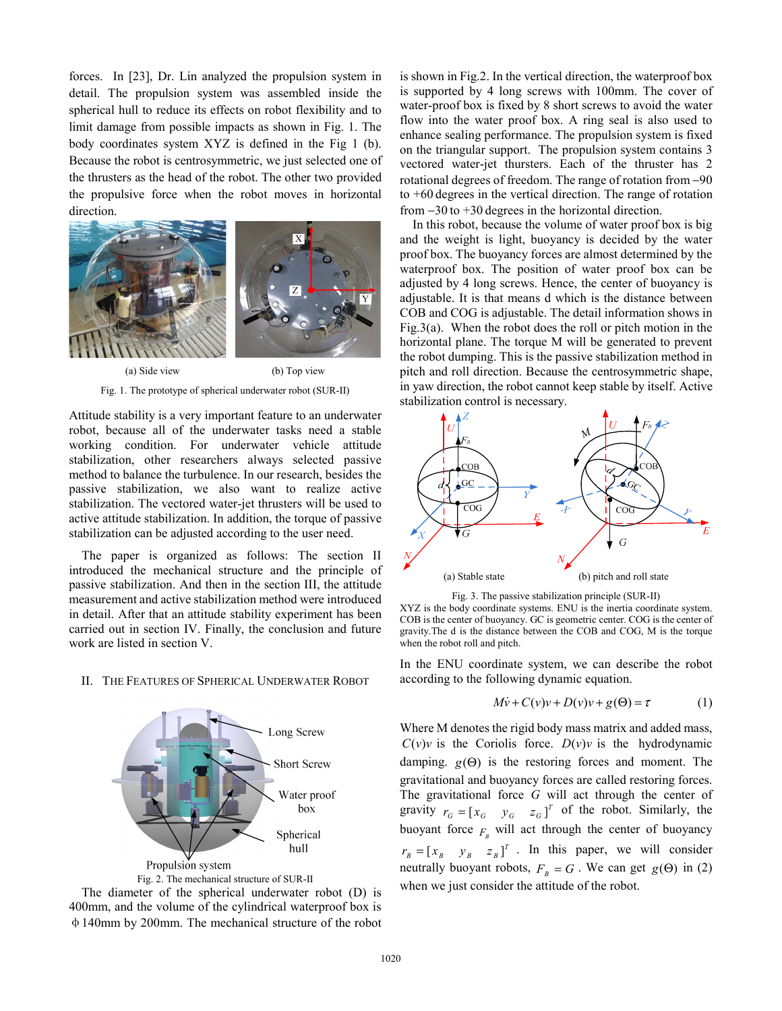forces. In [23], Dr. Lin analyzed the propulsion system in detail. The propulsion system was assembled inside the spherical hull to reduce its effects on robot flexibility and to limit damage from possible impacts as shown in Fig. 1. The body coordinates system XYZ is defined in the Fig 1 (b). Because the robot is centrosymmetric, we just selected one of the thrusters as the head of the robot. The other two provided the propulsive force when the robot moves in horizontal direction.



(a) Side view (b) Top view

Fig. 1. The prototype of spherical underwater robot (SUR-II)

Attitude stability is a very important feature to an underwater robot, because all of the underwater tasks need a stable working condition. For underwater vehicle attitude stabilization, other researchers always selected passive method to balance the turbulence. In our research, besides the passive stabilization, we also want to realize active stabilization. The vectored water-jet thrusters will be used to active attitude stabilization. In addition, the torque of passive stabilization can be adjusted according to the user need.

The paper is organized as follows: The section II introduced the mechanical structure and the principle of passive stabilization. And then in the section III, the attitude measurement and active stabilization method were introduced in detail. After that an attitude stability experiment has been carried out in section IV. Finally, the conclusion and future work are listed in section V.

## II. THE FEATURES OF SPHERICAL UNDERWATER ROBOT





is shown in Fig.2. In the vertical direction, the waterproof box is supported by 4 long screws with 100mm. The cover of water-proof box is fixed by 8 short screws to avoid the water flow into the water proof box. A ring seal is also used to enhance sealing performance. The propulsion system is fixed on the triangular support. The propulsion system contains 3 vectored water-jet thursters. Each of the thruster has 2 rotational degrees of freedom. The range of rotation from −90 to +60 degrees in the vertical direction. The range of rotation from −30 to +30 degrees in the horizontal direction.

In this robot, because the volume of water proof box is big and the weight is light, buoyancy is decided by the water proof box. The buoyancy forces are almost determined by the waterproof box. The position of water proof box can be adjusted by 4 long screws. Hence, the center of buoyancy is adjustable. It is that means d which is the distance between COB and COG is adjustable. The detail information shows in Fig.3(a). When the robot does the roll or pitch motion in the horizontal plane. The torque M will be generated to prevent the robot dumping. This is the passive stabilization method in pitch and roll direction. Because the centrosymmetric shape, in yaw direction, the robot cannot keep stable by itself. Active stabilization control is necessary.



Fig. 3. The passive stabilization principle (SUR-II)

XYZ is the body coordinate systems. ENU is the inertia coordinate system. COB is the center of buoyancy. GC is geometric center. COG is the center of gravity.The d is the distance between the COB and COG, M is the torque when the robot roll and pitch.

In the ENU coordinate system, we can describe the robot according to the following dynamic equation.

$$
M\dot{v} + C(v)v + D(v)v + g(\Theta) = \tau \tag{1}
$$

Where M denotes the rigid body mass matrix and added mass,  $C(v)v$  is the Coriolis force.  $D(v)v$  is the *hydrodynamic* damping. *g*(Θ) is the restoring forces and moment. The gravitational and buoyancy forces are called restoring forces. The gravitational force *G* will act through the center of gravity  $r_G = [x_G \quad y_G \quad z_G]^T$  of the robot. Similarly, the buoyant force  $F_B$  will act through the center of buoyancy  $r_B = [x_B \quad y_B \quad z_B]^T$ . In this paper, we will consider neutrally buoyant robots,  $F_B = G$ . We can get  $g(\Theta)$  in (2) when we just consider the attitude of the robot.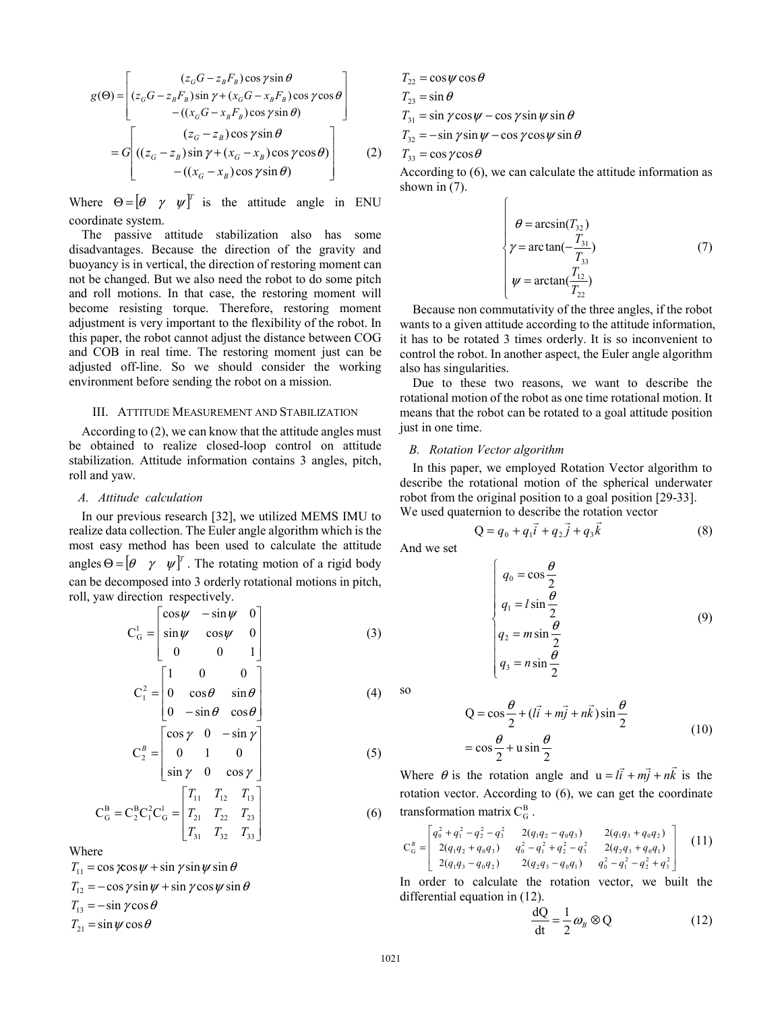$$
g(\Theta) = \begin{bmatrix} (z_G G - z_B F_B) \cos \gamma \sin \theta \\ (z_G G - z_B F_B) \sin \gamma + (x_G G - x_B F_B) \cos \gamma \cos \theta \\ -( (x_G G - x_B F_B) \cos \gamma \sin \theta ) \end{bmatrix}
$$

$$
= G \begin{bmatrix} (z_G - z_B) \cos \gamma \sin \theta \\ ((z_G - z_B) \sin \gamma + (x_G - x_B) \cos \gamma \cos \theta) \\ -( (x_G - x_B) \cos \gamma \sin \theta ) \end{bmatrix}
$$
(2)

Where  $\Theta = [\theta \gamma \psi]^T$  is the attitude angle in ENU coordinate system.

The passive attitude stabilization also has some disadvantages. Because the direction of the gravity and buoyancy is in vertical, the direction of restoring moment can not be changed. But we also need the robot to do some pitch and roll motions. In that case, the restoring moment will become resisting torque. Therefore, restoring moment adjustment is very important to the flexibility of the robot. In this paper, the robot cannot adjust the distance between COG and COB in real time. The restoring moment just can be adjusted off-line. So we should consider the working environment before sending the robot on a mission.

### III. ATTITUDE MEASUREMENT AND STABILIZATION

According to (2), we can know that the attitude angles must be obtained to realize closed-loop control on attitude stabilization. Attitude information contains 3 angles, pitch, roll and yaw.

#### *A. Attitude calculation*

In our previous research [32], we utilized MEMS IMU to realize data collection. The Euler angle algorithm which is the most easy method has been used to calculate the attitude angles  $\Theta = [\theta \gamma \psi]^T$ . The rotating motion of a rigid body can be decomposed into 3 orderly rotational motions in pitch, roll, yaw direction respectively.

$$
C_G^1 = \begin{bmatrix} \cos \psi & -\sin \psi & 0 \\ \sin \psi & \cos \psi & 0 \\ 0 & 0 & 1 \end{bmatrix}
$$
(3)  

$$
C_1^2 = \begin{bmatrix} 1 & 0 & 0 \\ 0 & \cos \theta & \sin \theta \\ 0 & -\sin \theta & \cos \theta \end{bmatrix}
$$
(4)  

$$
C_2^B = \begin{bmatrix} \cos \gamma & 0 & -\sin \gamma \\ 0 & 1 & 0 \\ \sin \gamma & 0 & \cos \gamma \end{bmatrix}
$$
(5)  

$$
C_G^B = C_2^B C_1^2 C_G^1 = \begin{bmatrix} T_{11} & T_{12} & T_{13} \\ T_{21} & T_{22} & T_{23} \\ T_{31} & T_{32} & T_{33} \end{bmatrix}
$$
(6)

Where

 $T_{11} = \cos \gamma \cos \gamma + \sin \gamma \sin \gamma \sin \theta$ 

$$
T_{12} = -\cos\gamma\sin\psi + \sin\gamma\cos\psi\sin\theta
$$

$$
T_{13} = -\sin\gamma\cos\theta
$$

 $T_{21} = \sin \psi \cos \theta$ 

$$
T_{22} = \cos \psi \cos \theta
$$
  
\n
$$
T_{23} = \sin \theta
$$
  
\n
$$
T_{31} = \sin \gamma \cos \psi - \cos \gamma \sin \psi \sin \theta
$$
  
\n
$$
T_{32} = -\sin \gamma \sin \psi - \cos \gamma \cos \psi \sin \theta
$$
  
\n
$$
T_{33} = \cos \gamma \cos \theta
$$

According to (6), we can calculate the attitude information as shown in  $(7)$ .

$$
\begin{cases}\n\theta = \arcsin(T_{32}) \\
\gamma = \arctan(-\frac{T_{31}}{T_{33}}) \\
\psi = \arctan(\frac{T_{12}}{T_{22}})\n\end{cases}
$$
\n(7)

Because non commutativity of the three angles, if the robot wants to a given attitude according to the attitude information, it has to be rotated 3 times orderly. It is so inconvenient to control the robot. In another aspect, the Euler angle algorithm also has singularities.

Due to these two reasons, we want to describe the rotational motion of the robot as one time rotational motion. It means that the robot can be rotated to a goal attitude position just in one time.

## *B. Rotation Vector algorithm*

In this paper, we employed Rotation Vector algorithm to describe the rotational motion of the spherical underwater robot from the original position to a goal position [29-33].

We used quaternion to describe the rotation vector  
\n
$$
Q = q_0 + q_1 \vec{i} + q_2 \vec{j} + q_3 \vec{k}
$$
\n(8)

And we set

$$
\begin{cases}\n q_0 = \cos \frac{\theta}{2} \\
 q_1 = l \sin \frac{\theta}{2} \\
 q_2 = m \sin \frac{\theta}{2} \\
 q_3 = n \sin \frac{\theta}{2}\n\end{cases}
$$
\n(9)

so

$$
Q = \cos\frac{\theta}{2} + (l\vec{i} + m\vec{j} + n\vec{k})\sin\frac{\theta}{2}
$$
  
=  $\cos\frac{\theta}{2} + u\sin\frac{\theta}{2}$  (10)

Where  $\theta$  is the rotation angle and  $u = l\vec{i} + m\vec{j} + n\vec{k}$  is the rotation vector. According to (6), we can get the coordinate transformation matrix  $C_G^B$ .

$$
C_G^B = \begin{bmatrix} q_0^2 + q_1^2 - q_2^2 - q_3^2 & 2(q_1q_2 - q_0q_3) & 2(q_1q_3 + q_0q_2) \\ 2(q_1q_2 + q_0q_3) & q_0^2 - q_1^2 + q_2^2 - q_3^2 & 2(q_2q_3 + q_0q_1) \\ 2(q_1q_3 - q_0q_2) & 2(q_2q_3 - q_0q_1) & q_0^2 - q_1^2 - q_2^2 + q_3^2 \end{bmatrix}
$$
 (11)

In order to calculate the rotation vector, we built the differential equation in (12).

$$
\frac{dQ}{dt} = \frac{1}{2} \omega_B \otimes Q \tag{12}
$$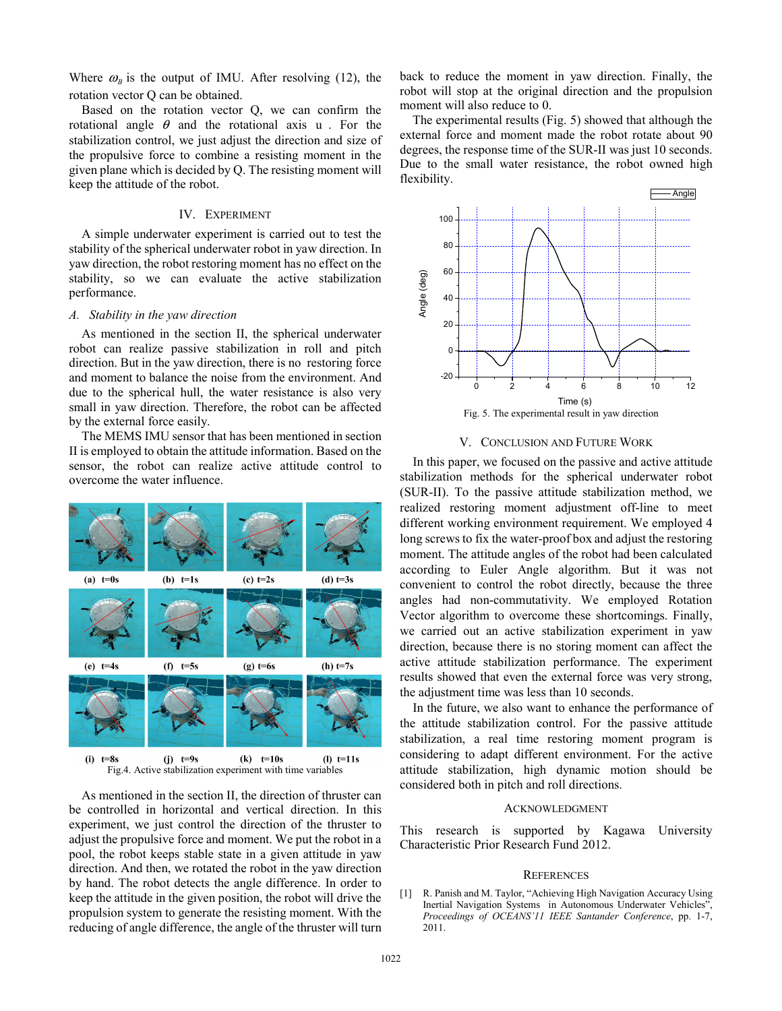Where  $\omega_B$  is the output of IMU. After resolving (12), the rotation vector Q can be obtained.

Based on the rotation vector Q, we can confirm the rotational angle  $\theta$  and the rotational axis u. For the stabilization control, we just adjust the direction and size of the propulsive force to combine a resisting moment in the given plane which is decided by Q. The resisting moment will keep the attitude of the robot.

## IV. EXPERIMENT

A simple underwater experiment is carried out to test the stability of the spherical underwater robot in yaw direction. In yaw direction, the robot restoring moment has no effect on the stability, so we can evaluate the active stabilization performance.

#### *A. Stability in the yaw direction*

As mentioned in the section II, the spherical underwater robot can realize passive stabilization in roll and pitch direction. But in the yaw direction, there is no restoring force and moment to balance the noise from the environment. And due to the spherical hull, the water resistance is also very small in yaw direction. Therefore, the robot can be affected by the external force easily.

The MEMS IMU sensor that has been mentioned in section II is employed to obtain the attitude information. Based on the sensor, the robot can realize active attitude control to overcome the water influence.



Fig.4. Active stabilization experiment with time variables

As mentioned in the section II, the direction of thruster can be controlled in horizontal and vertical direction. In this experiment, we just control the direction of the thruster to adjust the propulsive force and moment. We put the robot in a pool, the robot keeps stable state in a given attitude in yaw direction. And then, we rotated the robot in the yaw direction by hand. The robot detects the angle difference. In order to keep the attitude in the given position, the robot will drive the propulsion system to generate the resisting moment. With the reducing of angle difference, the angle of the thruster will turn

back to reduce the moment in yaw direction. Finally, the robot will stop at the original direction and the propulsion moment will also reduce to 0.

The experimental results (Fig. 5) showed that although the external force and moment made the robot rotate about 90 degrees, the response time of the SUR-II was just 10 seconds. Due to the small water resistance, the robot owned high flexibility.



## V. CONCLUSION AND FUTURE WORK

In this paper, we focused on the passive and active attitude stabilization methods for the spherical underwater robot (SUR-II). To the passive attitude stabilization method, we realized restoring moment adjustment off-line to meet different working environment requirement. We employed 4 long screws to fix the water-proof box and adjust the restoring moment. The attitude angles of the robot had been calculated according to Euler Angle algorithm. But it was not convenient to control the robot directly, because the three angles had non-commutativity. We employed Rotation Vector algorithm to overcome these shortcomings. Finally, we carried out an active stabilization experiment in yaw direction, because there is no storing moment can affect the active attitude stabilization performance. The experiment results showed that even the external force was very strong, the adjustment time was less than 10 seconds.

In the future, we also want to enhance the performance of the attitude stabilization control. For the passive attitude stabilization, a real time restoring moment program is considering to adapt different environment. For the active attitude stabilization, high dynamic motion should be considered both in pitch and roll directions.

#### **ACKNOWLEDGMENT**

This research is supported by Kagawa University Characteristic Prior Research Fund 2012.

#### **REFERENCES**

[1] R. Panish and M. Taylor, "Achieving High Navigation Accuracy Using Inertial Navigation Systems in Autonomous Underwater Vehicles", *Proceedings of OCEANS'11 IEEE Santander Conference*, pp. 1-7, 2011.